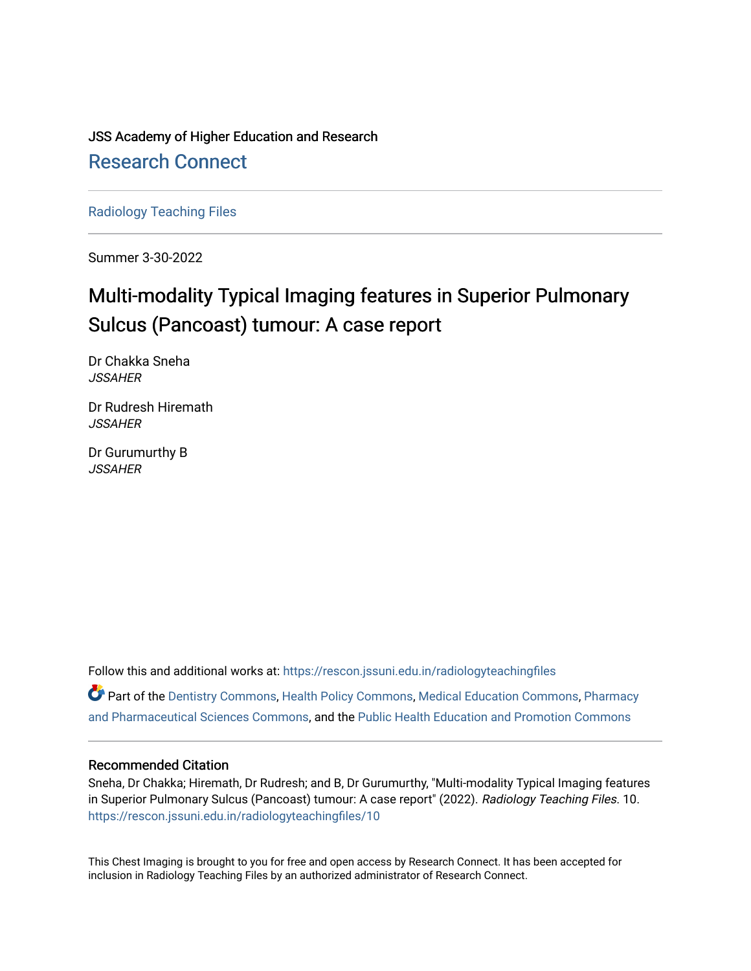JSS Academy of Higher Education and Research [Research Connect](https://rescon.jssuni.edu.in/)

[Radiology Teaching Files](https://rescon.jssuni.edu.in/radiologyteachingfiles)

Summer 3-30-2022

# Multi-modality Typical Imaging features in Superior Pulmonary Sulcus (Pancoast) tumour: A case report

Dr Chakka Sneha **JSSAHER** 

Dr Rudresh Hiremath **JSSAHER** 

Dr Gurumurthy B JSSAHER

Follow this and additional works at: [https://rescon.jssuni.edu.in/radiologyteachingfiles](https://rescon.jssuni.edu.in/radiologyteachingfiles?utm_source=rescon.jssuni.edu.in%2Fradiologyteachingfiles%2F10&utm_medium=PDF&utm_campaign=PDFCoverPages) 

Part of the [Dentistry Commons,](http://network.bepress.com/hgg/discipline/651?utm_source=rescon.jssuni.edu.in%2Fradiologyteachingfiles%2F10&utm_medium=PDF&utm_campaign=PDFCoverPages) [Health Policy Commons,](http://network.bepress.com/hgg/discipline/395?utm_source=rescon.jssuni.edu.in%2Fradiologyteachingfiles%2F10&utm_medium=PDF&utm_campaign=PDFCoverPages) [Medical Education Commons,](http://network.bepress.com/hgg/discipline/1125?utm_source=rescon.jssuni.edu.in%2Fradiologyteachingfiles%2F10&utm_medium=PDF&utm_campaign=PDFCoverPages) [Pharmacy](http://network.bepress.com/hgg/discipline/731?utm_source=rescon.jssuni.edu.in%2Fradiologyteachingfiles%2F10&utm_medium=PDF&utm_campaign=PDFCoverPages) [and Pharmaceutical Sciences Commons,](http://network.bepress.com/hgg/discipline/731?utm_source=rescon.jssuni.edu.in%2Fradiologyteachingfiles%2F10&utm_medium=PDF&utm_campaign=PDFCoverPages) and the [Public Health Education and Promotion Commons](http://network.bepress.com/hgg/discipline/743?utm_source=rescon.jssuni.edu.in%2Fradiologyteachingfiles%2F10&utm_medium=PDF&utm_campaign=PDFCoverPages) 

#### Recommended Citation

Sneha, Dr Chakka; Hiremath, Dr Rudresh; and B, Dr Gurumurthy, "Multi-modality Typical Imaging features in Superior Pulmonary Sulcus (Pancoast) tumour: A case report" (2022). Radiology Teaching Files. 10. [https://rescon.jssuni.edu.in/radiologyteachingfiles/10](https://rescon.jssuni.edu.in/radiologyteachingfiles/10?utm_source=rescon.jssuni.edu.in%2Fradiologyteachingfiles%2F10&utm_medium=PDF&utm_campaign=PDFCoverPages) 

This Chest Imaging is brought to you for free and open access by Research Connect. It has been accepted for inclusion in Radiology Teaching Files by an authorized administrator of Research Connect.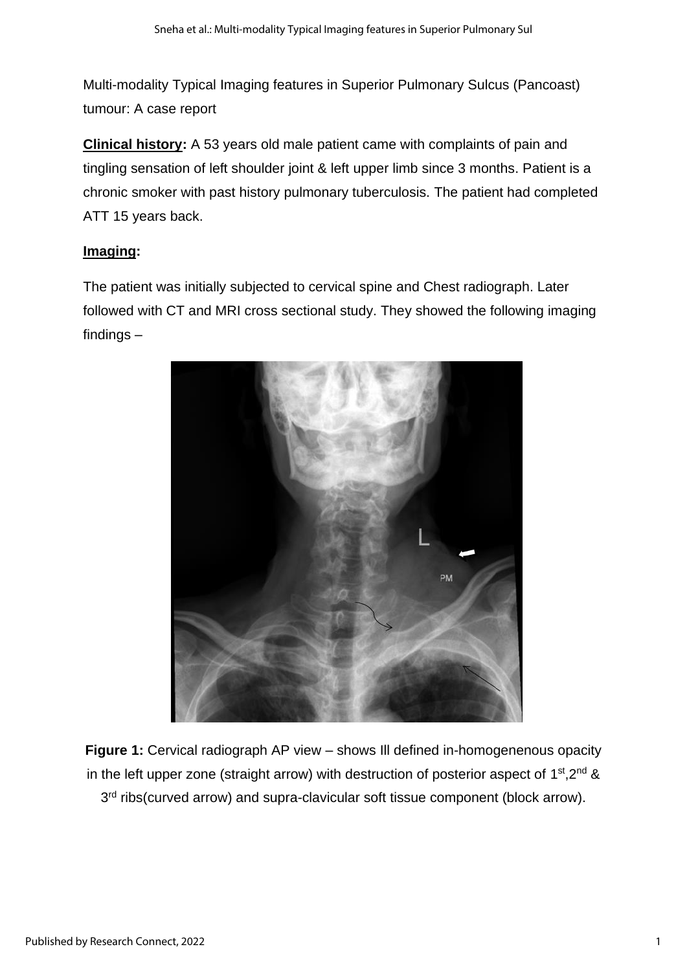Multi-modality Typical Imaging features in Superior Pulmonary Sulcus (Pancoast) tumour: A case report

**Clinical history:** A 53 years old male patient came with complaints of pain and tingling sensation of left shoulder joint & left upper limb since 3 months. Patient is a chronic smoker with past history pulmonary tuberculosis. The patient had completed ATT 15 years back.

# **Imaging:**

The patient was initially subjected to cervical spine and Chest radiograph. Later followed with CT and MRI cross sectional study. They showed the following imaging findings –



**Figure 1:** Cervical radiograph AP view – shows Ill defined in-homogenenous opacity in the left upper zone (straight arrow) with destruction of posterior aspect of  $1<sup>st</sup>,2<sup>nd</sup>$  & 3<sup>rd</sup> ribs(curved arrow) and supra-clavicular soft tissue component (block arrow).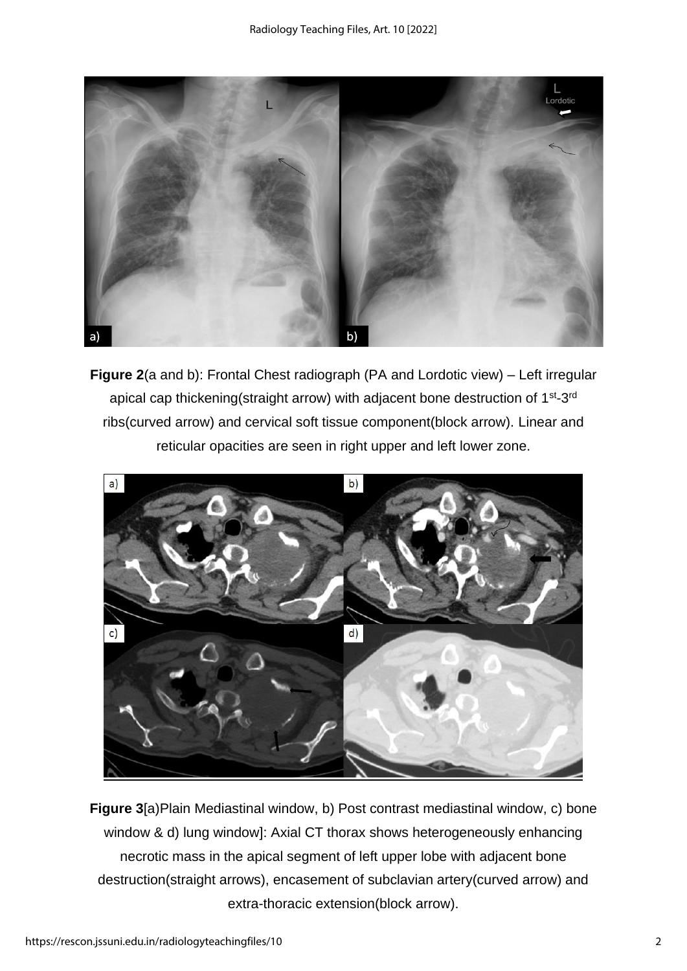

**Figure 2**(a and b): Frontal Chest radiograph (PA and Lordotic view) – Left irregular apical cap thickening(straight arrow) with adjacent bone destruction of 1<sup>st</sup>-3<sup>rd</sup> ribs(curved arrow) and cervical soft tissue component(block arrow). Linear and reticular opacities are seen in right upper and left lower zone.



**Figure 3**[a)Plain Mediastinal window, b) Post contrast mediastinal window, c) bone window & d) lung window]: Axial CT thorax shows heterogeneously enhancing necrotic mass in the apical segment of left upper lobe with adjacent bone destruction(straight arrows), encasement of subclavian artery(curved arrow) and extra-thoracic extension(block arrow).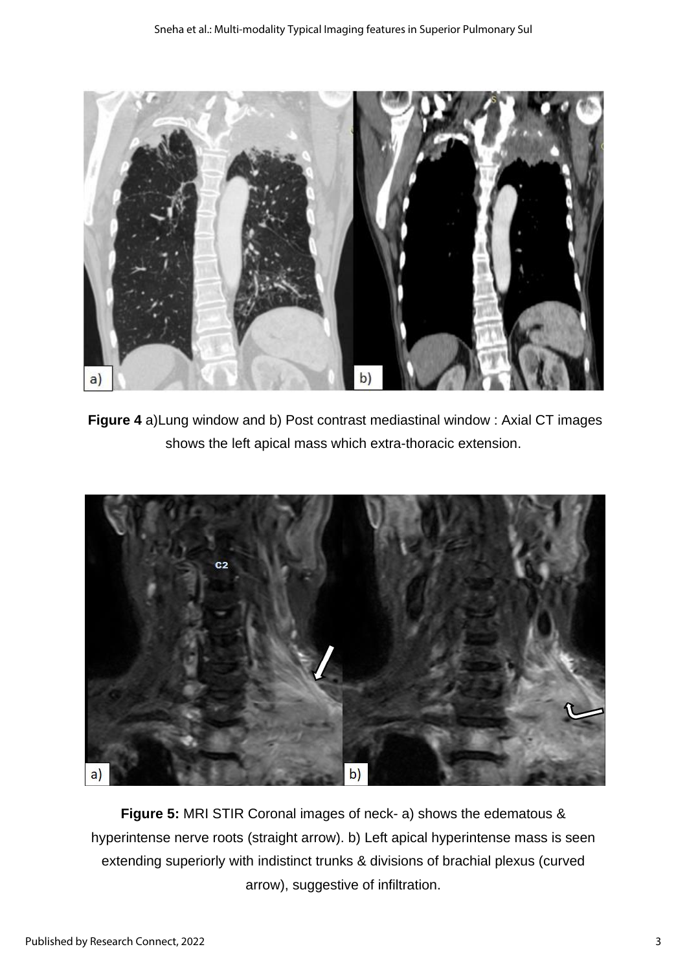

**Figure 4** a)Lung window and b) Post contrast mediastinal window : Axial CT images shows the left apical mass which extra-thoracic extension.



**Figure 5:** MRI STIR Coronal images of neck- a) shows the edematous & hyperintense nerve roots (straight arrow). b) Left apical hyperintense mass is seen extending superiorly with indistinct trunks & divisions of brachial plexus (curved arrow), suggestive of infiltration.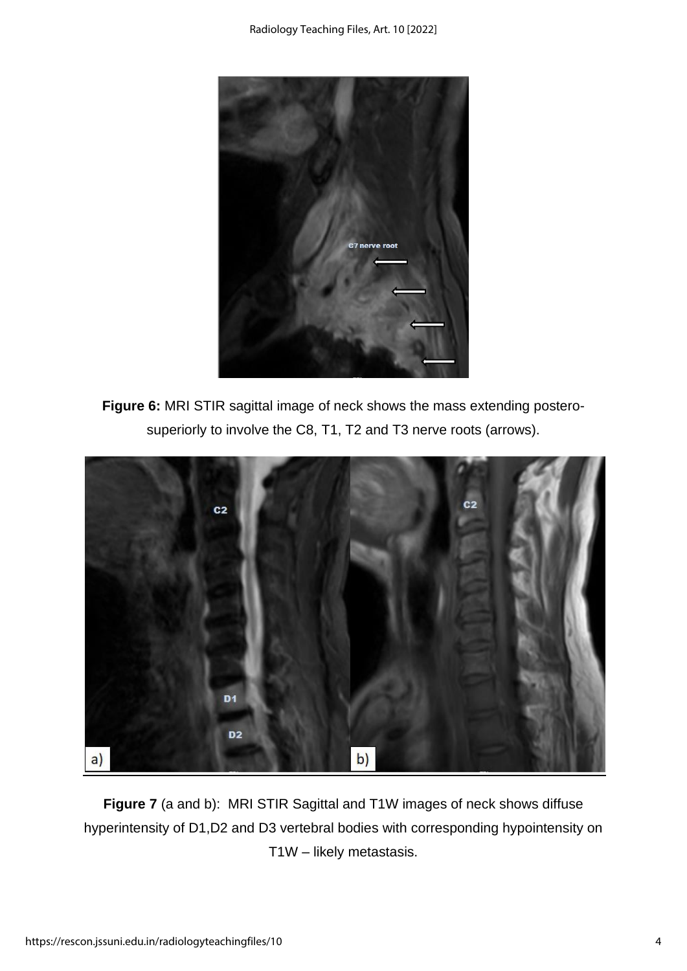

**Figure 6:** MRI STIR sagittal image of neck shows the mass extending posterosuperiorly to involve the C8, T1, T2 and T3 nerve roots (arrows).



**Figure 7** (a and b): MRI STIR Sagittal and T1W images of neck shows diffuse hyperintensity of D1,D2 and D3 vertebral bodies with corresponding hypointensity on T1W – likely metastasis.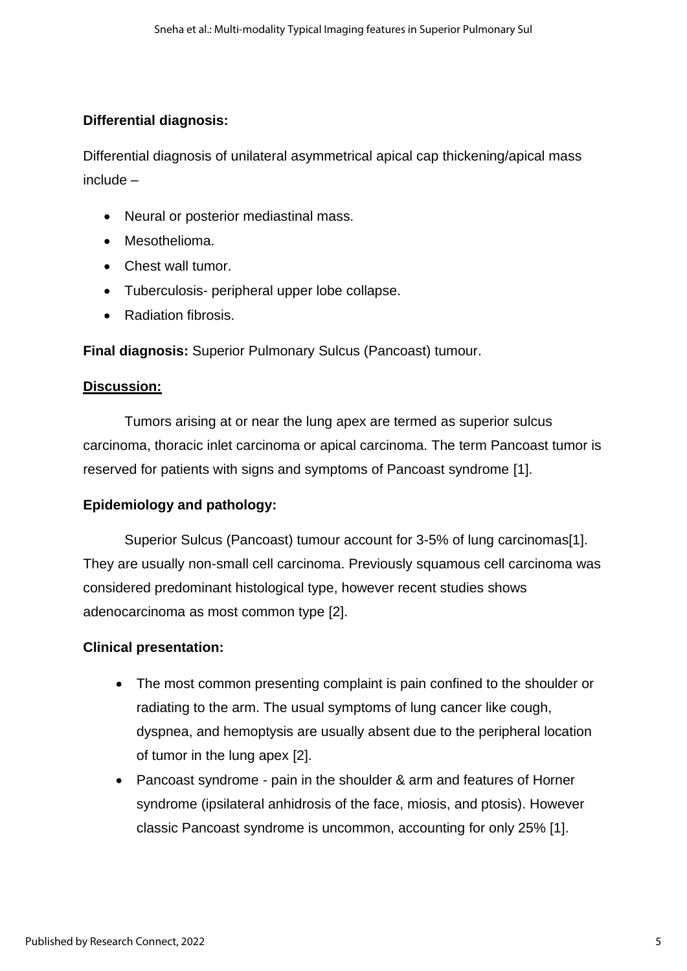#### **Differential diagnosis:**

Differential diagnosis of unilateral asymmetrical apical cap thickening/apical mass include –

- Neural or posterior mediastinal mass.
- Mesothelioma.
- Chest wall tumor.
- Tuberculosis- peripheral upper lobe collapse.
- Radiation fibrosis.

**Final diagnosis:** Superior Pulmonary Sulcus (Pancoast) tumour.

#### **Discussion:**

Tumors arising at or near the lung apex are termed as superior sulcus carcinoma, thoracic inlet carcinoma or apical carcinoma. The term Pancoast tumor is reserved for patients with signs and symptoms of Pancoast syndrome [1].

### **Epidemiology and pathology:**

Superior Sulcus (Pancoast) tumour account for 3-5% of lung carcinomas<sup>[1]</sup>. They are usually non-small cell carcinoma. Previously squamous cell carcinoma was considered predominant histological type, however recent studies shows adenocarcinoma as most common type [2].

### **Clinical presentation:**

- The most common presenting complaint is pain confined to the shoulder or radiating to the arm. The usual symptoms of lung cancer like cough, dyspnea, and hemoptysis are usually absent due to the peripheral location of tumor in the lung apex [2].
- Pancoast syndrome pain in the shoulder & arm and features of Horner syndrome (ipsilateral anhidrosis of the face, miosis, and ptosis). However classic Pancoast syndrome is uncommon, accounting for only 25% [1].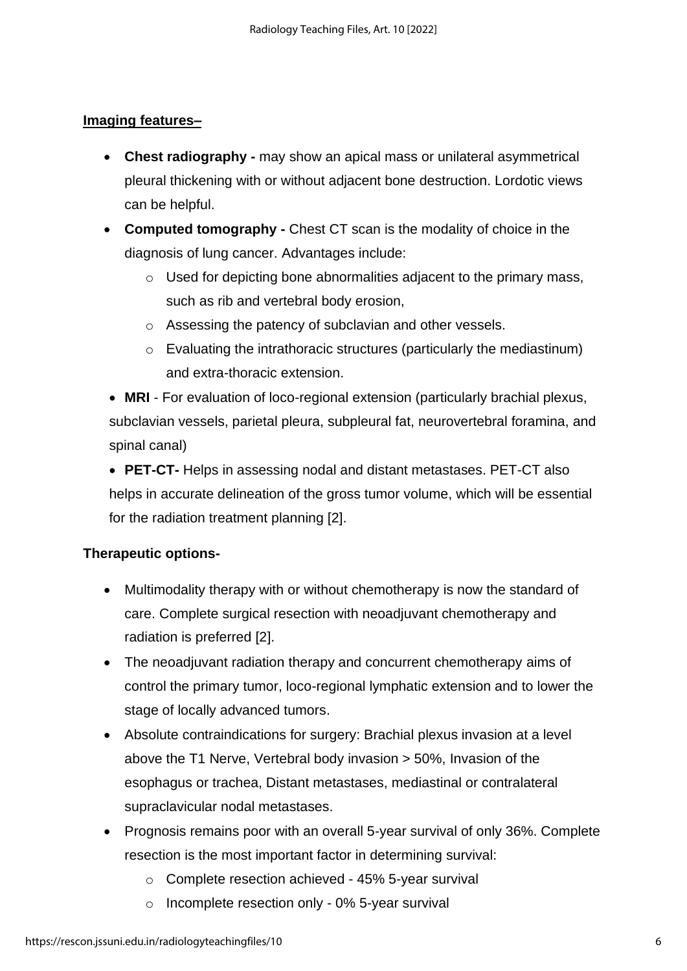#### **Imaging features–**

- **Chest radiography -** may show an apical mass or unilateral asymmetrical pleural thickening with or without adjacent bone destruction. Lordotic views can be helpful.
- **Computed tomography -** Chest CT scan is the modality of choice in the diagnosis of lung cancer. Advantages include:
	- $\circ$  Used for depicting bone abnormalities adjacent to the primary mass, such as rib and vertebral body erosion,
	- o Assessing the patency of subclavian and other vessels.
	- o Evaluating the intrathoracic structures (particularly the mediastinum) and extra-thoracic extension.
- **MRI** For evaluation of loco-regional extension (particularly brachial plexus, subclavian vessels, parietal pleura, subpleural fat, neurovertebral foramina, and spinal canal)
- **PET-CT-** Helps in assessing nodal and distant metastases. PET-CT also helps in accurate delineation of the gross tumor volume, which will be essential for the radiation treatment planning [2].

### **Therapeutic options-**

- Multimodality therapy with or without chemotherapy is now the standard of care. Complete surgical resection with neoadjuvant chemotherapy and radiation is preferred [2].
- The neoadjuvant radiation therapy and concurrent chemotherapy aims of control the primary tumor, loco-regional lymphatic extension and to lower the stage of locally advanced tumors.
- Absolute contraindications for surgery: Brachial plexus invasion at a level above the T1 Nerve, Vertebral body invasion > 50%, Invasion of the esophagus or trachea, Distant metastases, mediastinal or contralateral supraclavicular nodal metastases.
- Prognosis remains poor with an overall 5-year survival of only 36%. Complete resection is the most important factor in determining survival:
	- o Complete resection achieved 45% 5-year survival
	- o Incomplete resection only 0% 5-year survival